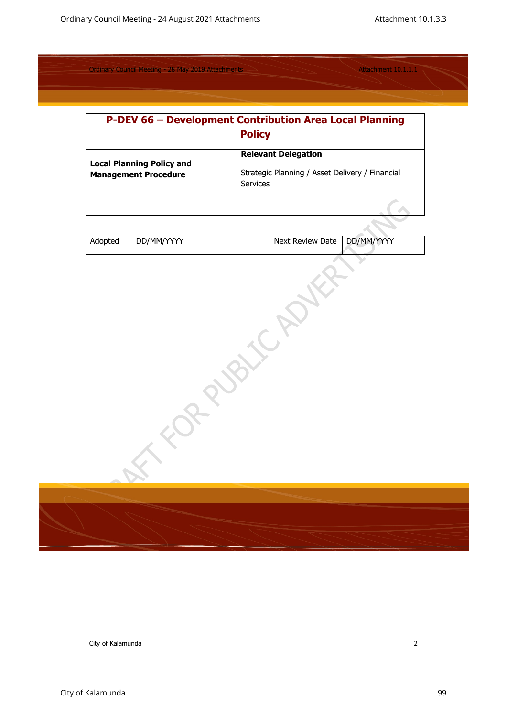| <b>P-DEV 66 - Development Contribution Area Local Planning</b><br><b>Policy</b> |                                                                                                  |  |  |  |
|---------------------------------------------------------------------------------|--------------------------------------------------------------------------------------------------|--|--|--|
| <b>Local Planning Policy and</b><br><b>Management Procedure</b>                 | <b>Relevant Delegation</b><br>Strategic Planning / Asset Delivery / Financial<br><b>Services</b> |  |  |  |

| Adopted | DD/MM/YYYY | Next Review Date DD/MM/YYYY |
|---------|------------|-----------------------------|
|         |            |                             |

| $\Diamond$                     |  |
|--------------------------------|--|
| $\bigtriangledown$<br>$\alpha$ |  |
|                                |  |
|                                |  |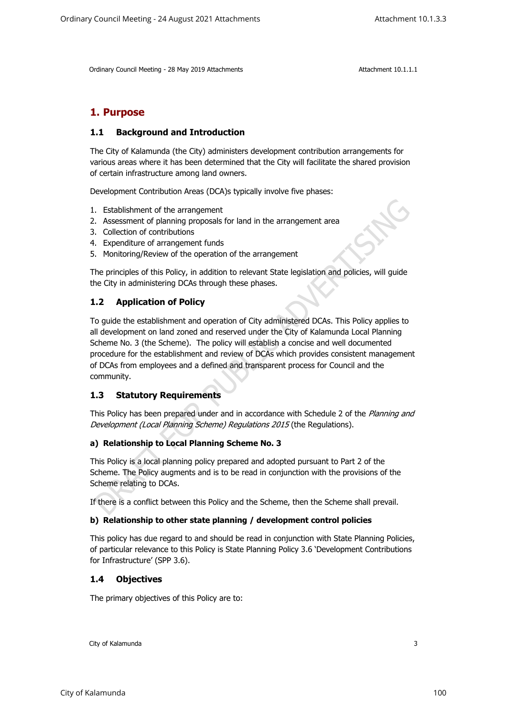# **1. Purpose**

## **1.1 Background and Introduction**

The City of Kalamunda (the City) administers development contribution arrangements for various areas where it has been determined that the City will facilitate the shared provision of certain infrastructure among land owners.

Development Contribution Areas (DCA)s typically involve five phases:

- 1. Establishment of the arrangement
- 2. Assessment of planning proposals for land in the arrangement area
- 3. Collection of contributions
- 4. Expenditure of arrangement funds
- 5. Monitoring/Review of the operation of the arrangement

The principles of this Policy, in addition to relevant State legislation and policies, will guide the City in administering DCAs through these phases.

## **1.2 Application of Policy**

To guide the establishment and operation of City administered DCAs. This Policy applies to all development on land zoned and reserved under the City of Kalamunda Local Planning Scheme No. 3 (the Scheme). The policy will establish a concise and well documented procedure for the establishment and review of DCAs which provides consistent management of DCAs from employees and a defined and transparent process for Council and the community.

## **1.3 Statutory Requirements**

This Policy has been prepared under and in accordance with Schedule 2 of the *Planning and Development (Local Planning Scheme) Regulations 2015* (the Regulations).

## **a) Relationship to Local Planning Scheme No. 3**

This Policy is a local planning policy prepared and adopted pursuant to Part 2 of the Scheme. The Policy augments and is to be read in conjunction with the provisions of the Scheme relating to DCAs.

If there is a conflict between this Policy and the Scheme, then the Scheme shall prevail.

#### **b) Relationship to other state planning / development control policies**

This policy has due regard to and should be read in conjunction with State Planning Policies, of particular relevance to this Policy is State Planning Policy 3.6 'Development Contributions for Infrastructure' (SPP 3.6).

## **1.4 Objectives**

The primary objectives of this Policy are to: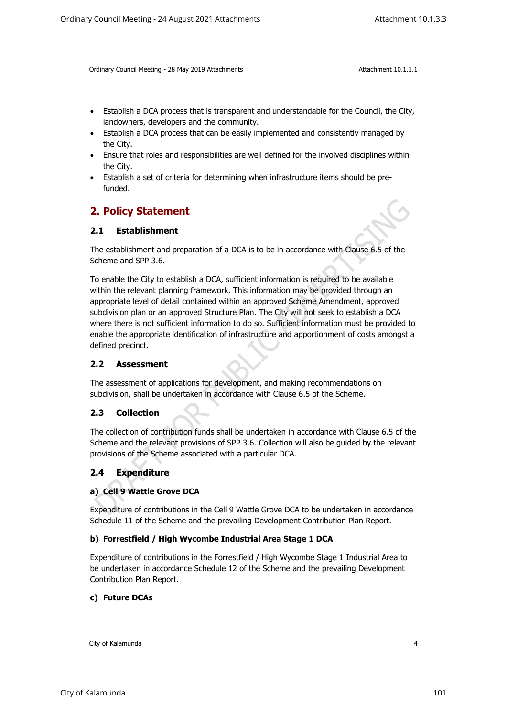- Establish a DCA process that is transparent and understandable for the Council, the City, landowners, developers and the community.
- Establish a DCA process that can be easily implemented and consistently managed by the City.
- Ensure that roles and responsibilities are well defined for the involved disciplines within the City.
- Establish a set of criteria for determining when infrastructure items should be prefunded.

## **2. Policy Statement**

## **2.1 Establishment**

The establishment and preparation of a DCA is to be in accordance with Clause 6.5 of the Scheme and SPP 3.6.

To enable the City to establish a DCA, sufficient information is required to be available within the relevant planning framework. This information may be provided through an appropriate level of detail contained within an approved Scheme Amendment, approved subdivision plan or an approved Structure Plan. The City will not seek to establish a DCA where there is not sufficient information to do so. Sufficient information must be provided to enable the appropriate identification of infrastructure and apportionment of costs amongst a defined precinct.

## **2.2 Assessment**

The assessment of applications for development, and making recommendations on subdivision, shall be undertaken in accordance with Clause 6.5 of the Scheme.

## **2.3 Collection**

The collection of contribution funds shall be undertaken in accordance with Clause 6.5 of the Scheme and the relevant provisions of SPP 3.6. Collection will also be guided by the relevant provisions of the Scheme associated with a particular DCA.

## **2.4 Expenditure**

## **a) Cell 9 Wattle Grove DCA**

Expenditure of contributions in the Cell 9 Wattle Grove DCA to be undertaken in accordance Schedule 11 of the Scheme and the prevailing Development Contribution Plan Report.

#### **b) Forrestfield / High Wycombe Industrial Area Stage 1 DCA**

Expenditure of contributions in the Forrestfield / High Wycombe Stage 1 Industrial Area to be undertaken in accordance Schedule 12 of the Scheme and the prevailing Development Contribution Plan Report.

## **c) Future DCAs**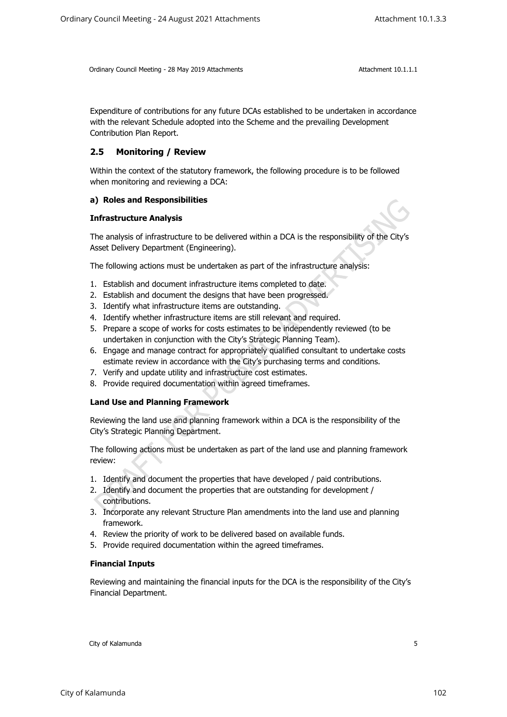Expenditure of contributions for any future DCAs established to be undertaken in accordance with the relevant Schedule adopted into the Scheme and the prevailing Development Contribution Plan Report.

## **2.5 Monitoring / Review**

Within the context of the statutory framework, the following procedure is to be followed when monitoring and reviewing a DCA:

#### **a) Roles and Responsibilities**

#### **Infrastructure Analysis**

The analysis of infrastructure to be delivered within a DCA is the responsibility of the City's Asset Delivery Department (Engineering).

The following actions must be undertaken as part of the infrastructure analysis:

- 1. Establish and document infrastructure items completed to date.
- 2. Establish and document the designs that have been progressed.
- 3. Identify what infrastructure items are outstanding.
- 4. Identify whether infrastructure items are still relevant and required.
- 5. Prepare a scope of works for costs estimates to be independently reviewed (to be undertaken in conjunction with the City's Strategic Planning Team).
- 6. Engage and manage contract for appropriately qualified consultant to undertake costs estimate review in accordance with the City's purchasing terms and conditions.
- 7. Verify and update utility and infrastructure cost estimates.
- 8. Provide required documentation within agreed timeframes.

## **Land Use and Planning Framework**

Reviewing the land use and planning framework within a DCA is the responsibility of the City's Strategic Planning Department.

The following actions must be undertaken as part of the land use and planning framework review:

- 1. Identify and document the properties that have developed / paid contributions.
- 2. Identify and document the properties that are outstanding for development / contributions.
- 3. Incorporate any relevant Structure Plan amendments into the land use and planning framework.
- 4. Review the priority of work to be delivered based on available funds.
- 5. Provide required documentation within the agreed timeframes.

#### **Financial Inputs**

Reviewing and maintaining the financial inputs for the DCA is the responsibility of the City's Financial Department.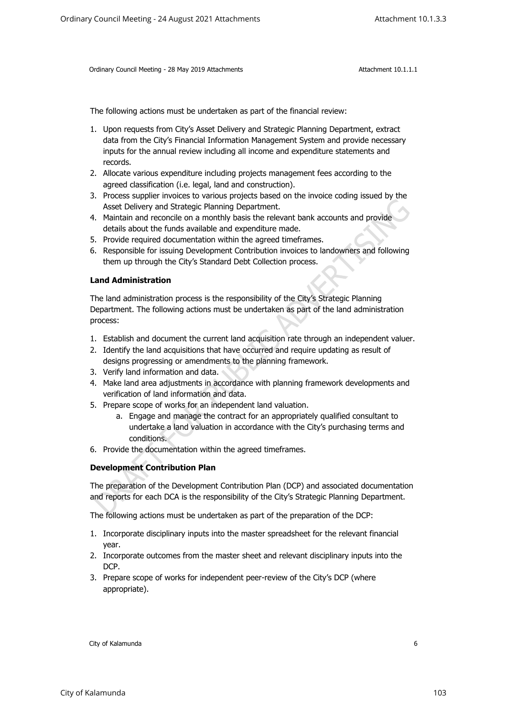The following actions must be undertaken as part of the financial review:

- 1. Upon requests from City's Asset Delivery and Strategic Planning Department, extract data from the City's Financial Information Management System and provide necessary inputs for the annual review including all income and expenditure statements and records.
- 2. Allocate various expenditure including projects management fees according to the agreed classification (i.e. legal, land and construction).
- 3. Process supplier invoices to various projects based on the invoice coding issued by the Asset Delivery and Strategic Planning Department.
- 4. Maintain and reconcile on a monthly basis the relevant bank accounts and provide details about the funds available and expenditure made.
- 5. Provide required documentation within the agreed timeframes.
- 6. Responsible for issuing Development Contribution invoices to landowners and following them up through the City's Standard Debt Collection process.

#### **Land Administration**

The land administration process is the responsibility of the City's Strategic Planning Department. The following actions must be undertaken as part of the land administration process:

- 1. Establish and document the current land acquisition rate through an independent valuer.
- 2. Identify the land acquisitions that have occurred and require updating as result of designs progressing or amendments to the planning framework.
- 3. Verify land information and data.
- 4. Make land area adjustments in accordance with planning framework developments and verification of land information and data.
- 5. Prepare scope of works for an independent land valuation.
	- a. Engage and manage the contract for an appropriately qualified consultant to undertake a land valuation in accordance with the City's purchasing terms and conditions.
- 6. Provide the documentation within the agreed timeframes.

## **Development Contribution Plan**

The preparation of the Development Contribution Plan (DCP) and associated documentation and reports for each DCA is the responsibility of the City's Strategic Planning Department.

The following actions must be undertaken as part of the preparation of the DCP:

- 1. Incorporate disciplinary inputs into the master spreadsheet for the relevant financial year.
- 2. Incorporate outcomes from the master sheet and relevant disciplinary inputs into the DCP.
- 3. Prepare scope of works for independent peer-review of the City's DCP (where appropriate).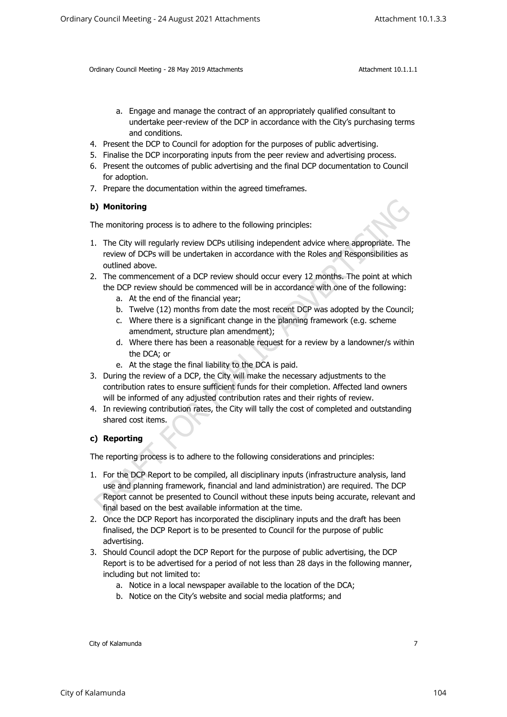- a. Engage and manage the contract of an appropriately qualified consultant to undertake peer-review of the DCP in accordance with the City's purchasing terms and conditions.
- 4. Present the DCP to Council for adoption for the purposes of public advertising.
- 5. Finalise the DCP incorporating inputs from the peer review and advertising process.
- 6. Present the outcomes of public advertising and the final DCP documentation to Council for adoption.
- 7. Prepare the documentation within the agreed timeframes.

#### **b) Monitoring**

The monitoring process is to adhere to the following principles:

- 1. The City will regularly review DCPs utilising independent advice where appropriate. The review of DCPs will be undertaken in accordance with the Roles and Responsibilities as outlined above.
- 2. The commencement of a DCP review should occur every 12 months. The point at which the DCP review should be commenced will be in accordance with one of the following:
	- a. At the end of the financial year;
	- b. Twelve (12) months from date the most recent DCP was adopted by the Council;
	- c. Where there is a significant change in the planning framework (e.g. scheme amendment, structure plan amendment);
	- d. Where there has been a reasonable request for a review by a landowner/s within the DCA; or
	- e. At the stage the final liability to the DCA is paid.
- 3. During the review of a DCP, the City will make the necessary adjustments to the contribution rates to ensure sufficient funds for their completion. Affected land owners will be informed of any adjusted contribution rates and their rights of review.
- 4. In reviewing contribution rates, the City will tally the cost of completed and outstanding shared cost items.

## **c) Reporting**

The reporting process is to adhere to the following considerations and principles:

- 1. For the DCP Report to be compiled, all disciplinary inputs (infrastructure analysis, land use and planning framework, financial and land administration) are required. The DCP Report cannot be presented to Council without these inputs being accurate, relevant and final based on the best available information at the time.
- 2. Once the DCP Report has incorporated the disciplinary inputs and the draft has been finalised, the DCP Report is to be presented to Council for the purpose of public advertising.
- 3. Should Council adopt the DCP Report for the purpose of public advertising, the DCP Report is to be advertised for a period of not less than 28 days in the following manner, including but not limited to:
	- a. Notice in a local newspaper available to the location of the DCA;
	- b. Notice on the City's website and social media platforms; and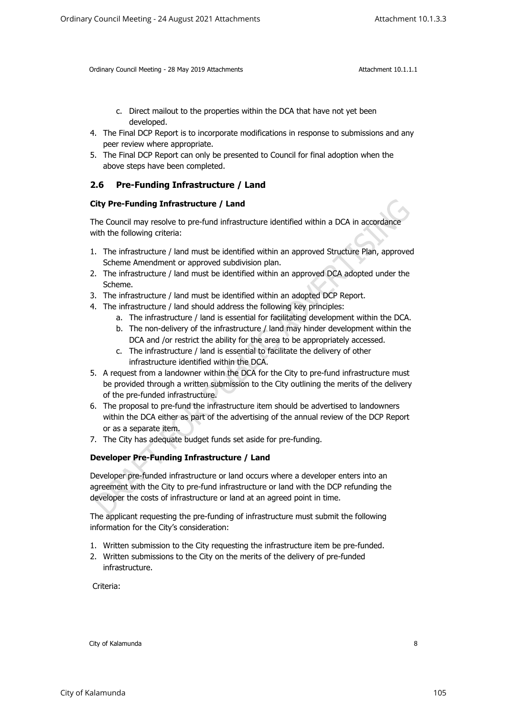- c. Direct mailout to the properties within the DCA that have not yet been developed.
- 4. The Final DCP Report is to incorporate modifications in response to submissions and any peer review where appropriate.
- 5. The Final DCP Report can only be presented to Council for final adoption when the above steps have been completed.

## **2.6 Pre-Funding Infrastructure / Land**

#### **City Pre-Funding Infrastructure / Land**

The Council may resolve to pre-fund infrastructure identified within a DCA in accordance with the following criteria:

- 1. The infrastructure / land must be identified within an approved Structure Plan, approved Scheme Amendment or approved subdivision plan.
- 2. The infrastructure / land must be identified within an approved DCA adopted under the Scheme.
- 3. The infrastructure / land must be identified within an adopted DCP Report.
- 4. The infrastructure / land should address the following key principles:
	- a. The infrastructure / land is essential for facilitating development within the DCA.
	- b. The non-delivery of the infrastructure / land may hinder development within the DCA and /or restrict the ability for the area to be appropriately accessed.
	- c. The infrastructure / land is essential to facilitate the delivery of other infrastructure identified within the DCA.
- 5. A request from a landowner within the DCA for the City to pre-fund infrastructure must be provided through a written submission to the City outlining the merits of the delivery of the pre-funded infrastructure.
- 6. The proposal to pre-fund the infrastructure item should be advertised to landowners within the DCA either as part of the advertising of the annual review of the DCP Report or as a separate item.
- 7. The City has adequate budget funds set aside for pre-funding.

#### **Developer Pre-Funding Infrastructure / Land**

Developer pre-funded infrastructure or land occurs where a developer enters into an agreement with the City to pre-fund infrastructure or land with the DCP refunding the developer the costs of infrastructure or land at an agreed point in time.

The applicant requesting the pre-funding of infrastructure must submit the following information for the City's consideration:

- 1. Written submission to the City requesting the infrastructure item be pre-funded.
- 2. Written submissions to the City on the merits of the delivery of pre-funded infrastructure.

Criteria: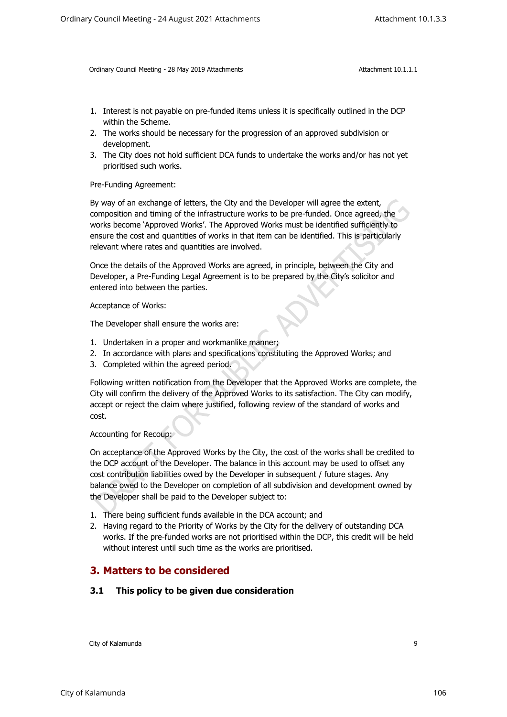- 1. Interest is not payable on pre-funded items unless it is specifically outlined in the DCP within the Scheme.
- 2. The works should be necessary for the progression of an approved subdivision or development.
- 3. The City does not hold sufficient DCA funds to undertake the works and/or has not yet prioritised such works.

Pre-Funding Agreement:

By way of an exchange of letters, the City and the Developer will agree the extent, composition and timing of the infrastructure works to be pre-funded. Once agreed, the works become 'Approved Works'. The Approved Works must be identified sufficiently to ensure the cost and quantities of works in that item can be identified. This is particularly relevant where rates and quantities are involved.

Once the details of the Approved Works are agreed, in principle, between the City and Developer, a Pre-Funding Legal Agreement is to be prepared by the City's solicitor and entered into between the parties.

Acceptance of Works:

The Developer shall ensure the works are:

- 1. Undertaken in a proper and workmanlike manner;
- 2. In accordance with plans and specifications constituting the Approved Works; and
- 3. Completed within the agreed period.

Following written notification from the Developer that the Approved Works are complete, the City will confirm the delivery of the Approved Works to its satisfaction. The City can modify, accept or reject the claim where justified, following review of the standard of works and cost.

Accounting for Recoup:

On acceptance of the Approved Works by the City, the cost of the works shall be credited to the DCP account of the Developer. The balance in this account may be used to offset any cost contribution liabilities owed by the Developer in subsequent / future stages. Any balance owed to the Developer on completion of all subdivision and development owned by the Developer shall be paid to the Developer subject to:

- 1. There being sufficient funds available in the DCA account; and
- 2. Having regard to the Priority of Works by the City for the delivery of outstanding DCA works. If the pre-funded works are not prioritised within the DCP, this credit will be held without interest until such time as the works are prioritised.

## **3. Matters to be considered**

#### **3.1 This policy to be given due consideration**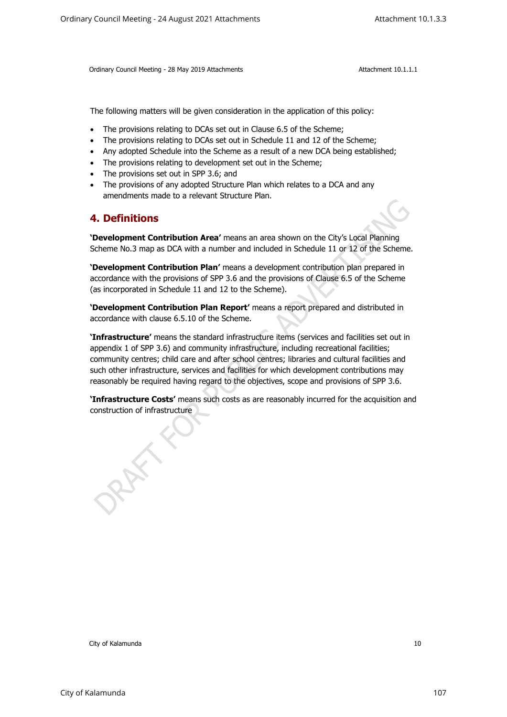The following matters will be given consideration in the application of this policy:

- The provisions relating to DCAs set out in Clause 6.5 of the Scheme;
- The provisions relating to DCAs set out in Schedule 11 and 12 of the Scheme;
- Any adopted Schedule into the Scheme as a result of a new DCA being established;
- The provisions relating to development set out in the Scheme;
- The provisions set out in SPP 3.6; and
- The provisions of any adopted Structure Plan which relates to a DCA and any amendments made to a relevant Structure Plan.

## **4. Definitions**

**'Development Contribution Area'** means an area shown on the City's Local Planning Scheme No.3 map as DCA with a number and included in Schedule 11 or 12 of the Scheme.

**'Development Contribution Plan'** means a development contribution plan prepared in accordance with the provisions of SPP 3.6 and the provisions of Clause 6.5 of the Scheme (as incorporated in Schedule 11 and 12 to the Scheme).

**'Development Contribution Plan Report'** means a report prepared and distributed in accordance with clause 6.5.10 of the Scheme.

**'Infrastructure'** means the standard infrastructure items (services and facilities set out in appendix 1 of SPP 3.6) and community infrastructure, including recreational facilities; community centres; child care and after school centres; libraries and cultural facilities and such other infrastructure, services and facilities for which development contributions may reasonably be required having regard to the objectives, scope and provisions of SPP 3.6. Cristiany Council Meeting - 24 August 2021 Attachments Attachment 10.1.3.3<br>
Cristian Council Meeting - 29 Mer 2018 Attachments<br>
The following matters will be given constituted in the application of this process.<br>
The provi

**'Infrastructure Costs'** means such costs as are reasonably incurred for the acquisition and construction of infrastructure